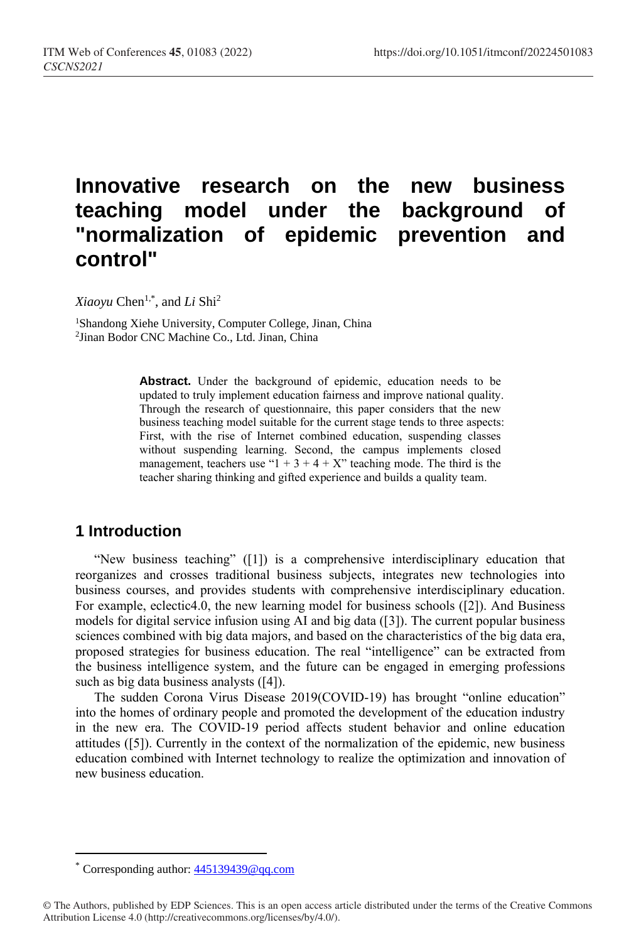# **Innovative research on the new business teaching model under the background of "normalization of epidemic prevention and control"**

*Xiaoyu* Chen1,\* , and *Li* Shi<sup>2</sup>

<sup>1</sup>Shandong Xiehe University, Computer College, Jinan, China 2 Jinan Bodor CNC Machine Co., Ltd. Jinan, China

> **Abstract.** Under the background of epidemic, education needs to be updated to truly implement education fairness and improve national quality. Through the research of questionnaire, this paper considers that the new business teaching model suitable for the current stage tends to three aspects: First, with the rise of Internet combined education, suspending classes without suspending learning. Second, the campus implements closed management, teachers use " $1 + 3 + 4 + X$ " teaching mode. The third is the teacher sharing thinking and gifted experience and builds a quality team.

# **1 Introduction**

"New business teaching" ([1]) is a comprehensive interdisciplinary education that reorganizes and crosses traditional business subjects, integrates new technologies into business courses, and provides students with comprehensive interdisciplinary education. For example, eclectic4.0, the new learning model for business schools ([2]). And Business models for digital service infusion using AI and big data ([3]). The current popular business sciences combined with big data majors, and based on the characteristics of the big data era, proposed strategies for business education. The real "intelligence" can be extracted from the business intelligence system, and the future can be engaged in emerging professions such as big data business analysts ([4]).

The sudden Corona Virus Disease 2019(COVID-19) has brought "online education" into the homes of ordinary people and promoted the development of the education industry in the new era. The COVID-19 period affects student behavior and online education attitudes ([5]). Currently in the context of the normalization of the epidemic, new business education combined with Internet technology to realize the optimization and innovation of new business education.

 $\overline{a}$ 

Corresponding author:  $445139439@qq.com$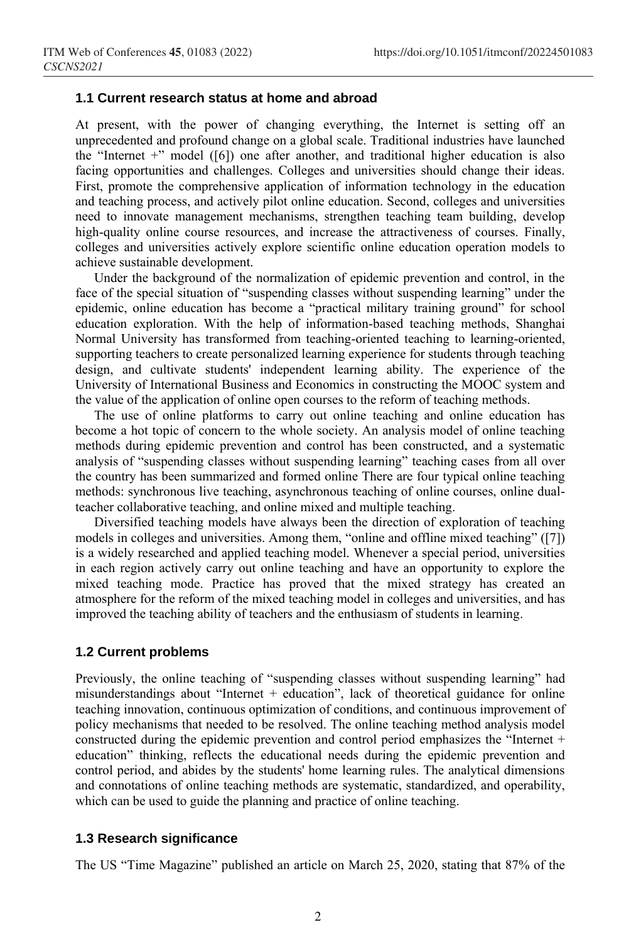## **1.1 Current research status at home and abroad**

At present, with the power of changing everything, the Internet is setting off an unprecedented and profound change on a global scale. Traditional industries have launched the "Internet  $+$ " model ([6]) one after another, and traditional higher education is also facing opportunities and challenges. Colleges and universities should change their ideas. First, promote the comprehensive application of information technology in the education and teaching process, and actively pilot online education. Second, colleges and universities need to innovate management mechanisms, strengthen teaching team building, develop high-quality online course resources, and increase the attractiveness of courses. Finally, colleges and universities actively explore scientific online education operation models to achieve sustainable development.

Under the background of the normalization of epidemic prevention and control, in the face of the special situation of "suspending classes without suspending learning" under the epidemic, online education has become a "practical military training ground" for school education exploration. With the help of information-based teaching methods, Shanghai Normal University has transformed from teaching-oriented teaching to learning-oriented, supporting teachers to create personalized learning experience for students through teaching design, and cultivate students' independent learning ability. The experience of the University of International Business and Economics in constructing the MOOC system and the value of the application of online open courses to the reform of teaching methods.

The use of online platforms to carry out online teaching and online education has become a hot topic of concern to the whole society. An analysis model of online teaching methods during epidemic prevention and control has been constructed, and a systematic analysis of "suspending classes without suspending learning" teaching cases from all over the country has been summarized and formed online There are four typical online teaching methods: synchronous live teaching, asynchronous teaching of online courses, online dualteacher collaborative teaching, and online mixed and multiple teaching.

Diversified teaching models have always been the direction of exploration of teaching models in colleges and universities. Among them, "online and offline mixed teaching" ([7]) is a widely researched and applied teaching model. Whenever a special period, universities in each region actively carry out online teaching and have an opportunity to explore the mixed teaching mode. Practice has proved that the mixed strategy has created an atmosphere for the reform of the mixed teaching model in colleges and universities, and has improved the teaching ability of teachers and the enthusiasm of students in learning.

## **1.2 Current problems**

Previously, the online teaching of "suspending classes without suspending learning" had misunderstandings about "Internet  $+$  education", lack of theoretical guidance for online teaching innovation, continuous optimization of conditions, and continuous improvement of policy mechanisms that needed to be resolved. The online teaching method analysis model constructed during the epidemic prevention and control period emphasizes the "Internet + education" thinking, reflects the educational needs during the epidemic prevention and control period, and abides by the students' home learning rules. The analytical dimensions and connotations of online teaching methods are systematic, standardized, and operability, which can be used to guide the planning and practice of online teaching.

#### **1.3 Research significance**

The US "Time Magazine" published an article on March 25, 2020, stating that 87% of the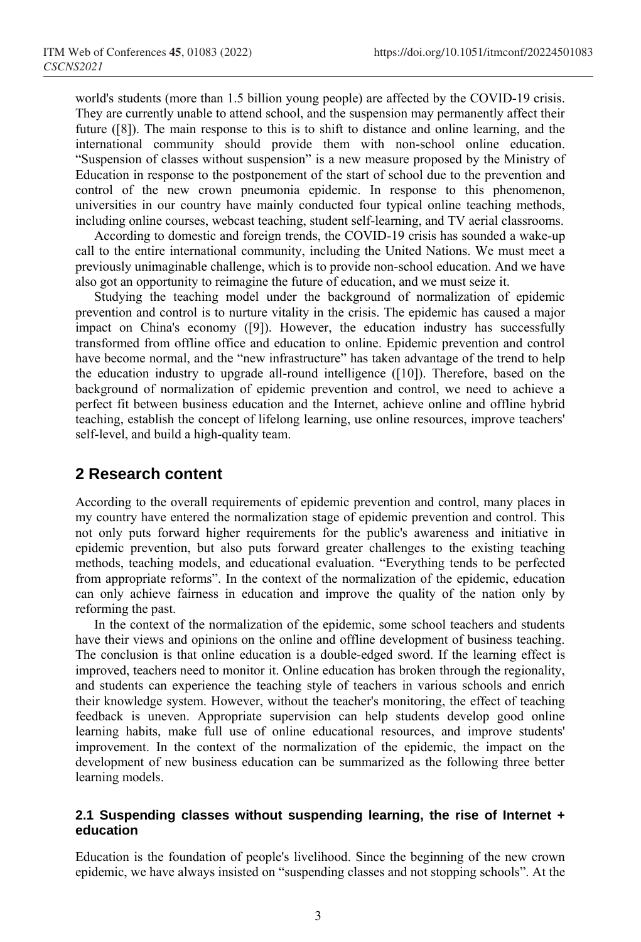world's students (more than 1.5 billion young people) are affected by the COVID-19 crisis. They are currently unable to attend school, and the suspension may permanently affect their future ([8]). The main response to this is to shift to distance and online learning, and the international community should provide them with non-school online education. "Suspension of classes without suspension" is a new measure proposed by the Ministry of Education in response to the postponement of the start of school due to the prevention and control of the new crown pneumonia epidemic. In response to this phenomenon, universities in our country have mainly conducted four typical online teaching methods, including online courses, webcast teaching, student self-learning, and TV aerial classrooms.

According to domestic and foreign trends, the COVID-19 crisis has sounded a wake-up call to the entire international community, including the United Nations. We must meet a previously unimaginable challenge, which is to provide non-school education. And we have also got an opportunity to reimagine the future of education, and we must seize it.

Studying the teaching model under the background of normalization of epidemic prevention and control is to nurture vitality in the crisis. The epidemic has caused a major impact on China's economy ([9]). However, the education industry has successfully transformed from offline office and education to online. Epidemic prevention and control have become normal, and the "new infrastructure" has taken advantage of the trend to help the education industry to upgrade all-round intelligence ([10]). Therefore, based on the background of normalization of epidemic prevention and control, we need to achieve a perfect fit between business education and the Internet, achieve online and offline hybrid teaching, establish the concept of lifelong learning, use online resources, improve teachers' self-level, and build a high-quality team.

# **2 Research content**

According to the overall requirements of epidemic prevention and control, many places in my country have entered the normalization stage of epidemic prevention and control. This not only puts forward higher requirements for the public's awareness and initiative in epidemic prevention, but also puts forward greater challenges to the existing teaching methods, teaching models, and educational evaluation. "Everything tends to be perfected from appropriate reforms". In the context of the normalization of the epidemic, education can only achieve fairness in education and improve the quality of the nation only by reforming the past.

In the context of the normalization of the epidemic, some school teachers and students have their views and opinions on the online and offline development of business teaching. The conclusion is that online education is a double-edged sword. If the learning effect is improved, teachers need to monitor it. Online education has broken through the regionality, and students can experience the teaching style of teachers in various schools and enrich their knowledge system. However, without the teacher's monitoring, the effect of teaching feedback is uneven. Appropriate supervision can help students develop good online learning habits, make full use of online educational resources, and improve students' improvement. In the context of the normalization of the epidemic, the impact on the development of new business education can be summarized as the following three better learning models.

## **2.1 Suspending classes without suspending learning, the rise of Internet + education**

Education is the foundation of people's livelihood. Since the beginning of the new crown epidemic, we have always insisted on "suspending classes and not stopping schools". At the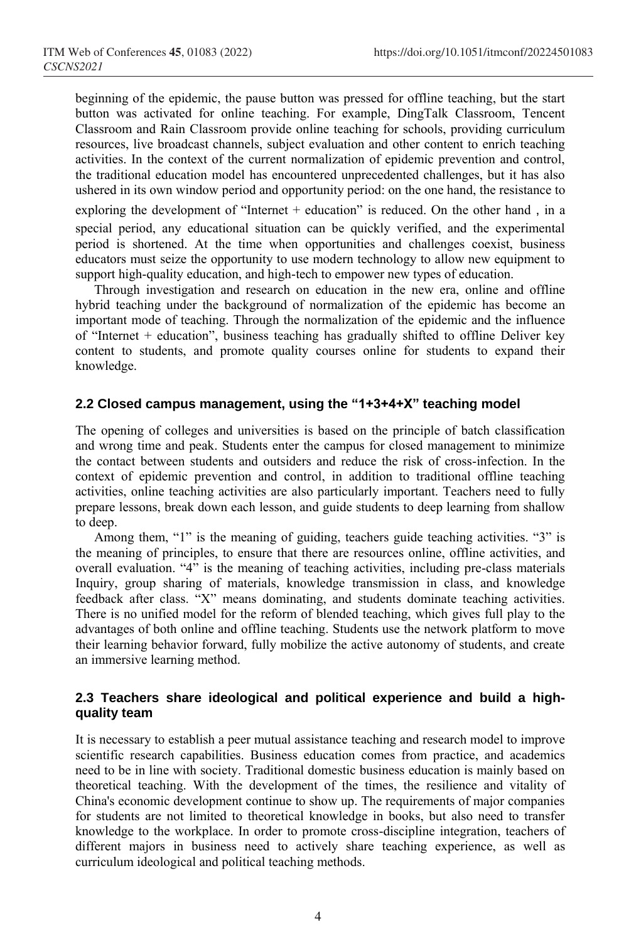beginning of the epidemic, the pause button was pressed for offline teaching, but the start button was activated for online teaching. For example, DingTalk Classroom, Tencent Classroom and Rain Classroom provide online teaching for schools, providing curriculum resources, live broadcast channels, subject evaluation and other content to enrich teaching activities. In the context of the current normalization of epidemic prevention and control, the traditional education model has encountered unprecedented challenges, but it has also ushered in its own window period and opportunity period: on the one hand, the resistance to exploring the development of "Internet  $+$  education" is reduced. On the other hand, in a special period, any educational situation can be quickly verified, and the experimental period is shortened. At the time when opportunities and challenges coexist, business educators must seize the opportunity to use modern technology to allow new equipment to support high-quality education, and high-tech to empower new types of education.

Through investigation and research on education in the new era, online and offline hybrid teaching under the background of normalization of the epidemic has become an important mode of teaching. Through the normalization of the epidemic and the influence of "Internet + education", business teaching has gradually shifted to offline Deliver key content to students, and promote quality courses online for students to expand their knowledge.

## **2.2 Closed campus management, using the "1+3+4+X" teaching model**

The opening of colleges and universities is based on the principle of batch classification and wrong time and peak. Students enter the campus for closed management to minimize the contact between students and outsiders and reduce the risk of cross-infection. In the context of epidemic prevention and control, in addition to traditional offline teaching activities, online teaching activities are also particularly important. Teachers need to fully prepare lessons, break down each lesson, and guide students to deep learning from shallow to deep.

Among them, "1" is the meaning of guiding, teachers guide teaching activities. "3" is the meaning of principles, to ensure that there are resources online, offline activities, and overall evaluation. "4" is the meaning of teaching activities, including pre-class materials Inquiry, group sharing of materials, knowledge transmission in class, and knowledge feedback after class. "X" means dominating, and students dominate teaching activities. There is no unified model for the reform of blended teaching, which gives full play to the advantages of both online and offline teaching. Students use the network platform to move their learning behavior forward, fully mobilize the active autonomy of students, and create an immersive learning method.

## **2.3 Teachers share ideological and political experience and build a highquality team**

It is necessary to establish a peer mutual assistance teaching and research model to improve scientific research capabilities. Business education comes from practice, and academics need to be in line with society. Traditional domestic business education is mainly based on theoretical teaching. With the development of the times, the resilience and vitality of China's economic development continue to show up. The requirements of major companies for students are not limited to theoretical knowledge in books, but also need to transfer knowledge to the workplace. In order to promote cross-discipline integration, teachers of different majors in business need to actively share teaching experience, as well as curriculum ideological and political teaching methods.